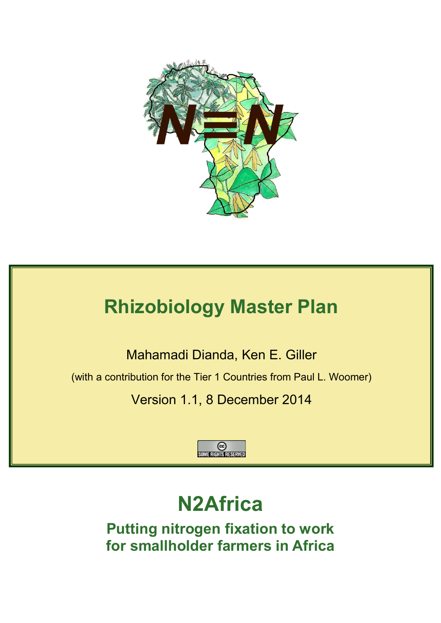

# **Rhizobiology Master Plan**

Mahamadi Dianda, Ken E. Giller

(with a contribution for the Tier 1 Countries from Paul L. Woomer)

Version 1.1, 8 December 2014



# **N2Africa**

**Putting nitrogen fixation to work for smallholder farmers in Africa**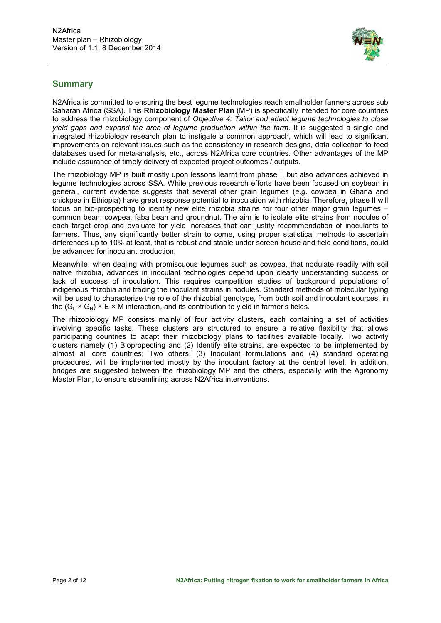

# **Summary**

N2Africa is committed to ensuring the best legume technologies reach smallholder farmers across sub Saharan Africa (SSA). This **Rhizobiology Master Plan** (MP) is specifically intended for core countries to address the rhizobiology component of *Objective 4: Tailor and adapt legume technologies to close yield gaps and expand the area of legume production within the farm*. It is suggested a single and integrated rhizobiology research plan to instigate a common approach, which will lead to significant improvements on relevant issues such as the consistency in research designs, data collection to feed databases used for meta-analysis, etc., across N2Africa core countries. Other advantages of the MP include assurance of timely delivery of expected project outcomes / outputs.

The rhizobiology MP is built mostly upon lessons learnt from phase I, but also advances achieved in legume technologies across SSA. While previous research efforts have been focused on soybean in general, current evidence suggests that several other grain legumes (*e.g*. cowpea in Ghana and chickpea in Ethiopia) have great response potential to inoculation with rhizobia. Therefore, phase II will focus on bio-prospecting to identify new elite rhizobia strains for four other major grain legumes – common bean, cowpea, faba bean and groundnut. The aim is to isolate elite strains from nodules of each target crop and evaluate for yield increases that can justify recommendation of inoculants to farmers. Thus, any significantly better strain to come, using proper statistical methods to ascertain differences up to 10% at least, that is robust and stable under screen house and field conditions, could be advanced for inoculant production.

Meanwhile, when dealing with promiscuous legumes such as cowpea, that nodulate readily with soil native rhizobia, advances in inoculant technologies depend upon clearly understanding success or lack of success of inoculation. This requires competition studies of background populations of indigenous rhizobia and tracing the inoculant strains in nodules. Standard methods of molecular typing will be used to characterize the role of the rhizobial genotype, from both soil and inoculant sources, in the  $(G_1 \times G_2) \times E \times M$  interaction, and its contribution to vield in farmer's fields.

The rhizobiology MP consists mainly of four activity clusters, each containing a set of activities involving specific tasks. These clusters are structured to ensure a relative flexibility that allows participating countries to adapt their rhizobiology plans to facilities available locally. Two activity clusters namely (1) Biopropecting and (2) Identify elite strains, are expected to be implemented by almost all core countries; Two others, (3) Inoculant formulations and (4) standard operating procedures, will be implemented mostly by the inoculant factory at the central level. In addition, bridges are suggested between the rhizobiology MP and the others, especially with the Agronomy Master Plan, to ensure streamlining across N2Africa interventions.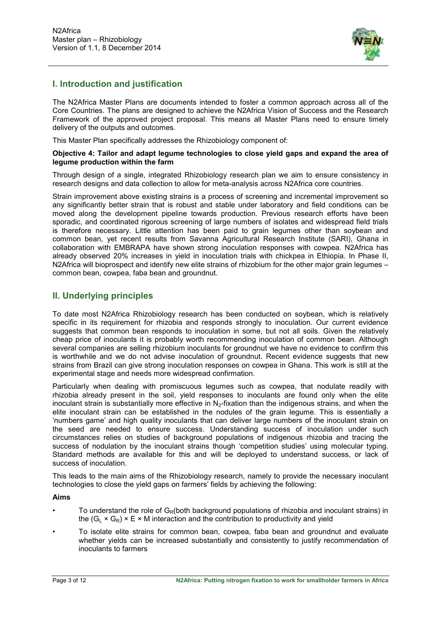

## **I. Introduction and justification**

The N2Africa Master Plans are documents intended to foster a common approach across all of the Core Countries. The plans are designed to achieve the N2Africa Vision of Success and the Research Framework of the approved project proposal. This means all Master Plans need to ensure timely delivery of the outputs and outcomes.

This Master Plan specifically addresses the Rhizobiology component of:

#### **Objective 4: Tailor and adapt legume technologies to close yield gaps and expand the area of legume production within the farm**

Through design of a single, integrated Rhizobiology research plan we aim to ensure consistency in research designs and data collection to allow for meta-analysis across N2Africa core countries.

Strain improvement above existing strains is a process of screening and incremental improvement so any significantly better strain that is robust and stable under laboratory and field conditions can be moved along the development pipeline towards production. Previous research efforts have been sporadic, and coordinated rigorous screening of large numbers of isolates and widespread field trials is therefore necessary. Little attention has been paid to grain legumes other than soybean and common bean, yet recent results from Savanna Agricultural Research Institute (SARI), Ghana in collaboration with EMBRAPA have shown strong inoculation responses with cowpea. N2Africa has already observed 20% increases in yield in inoculation trials with chickpea in Ethiopia. In Phase II, N2Africa will bioprospect and identify new elite strains of rhizobium for the other major grain legumes – common bean, cowpea, faba bean and groundnut.

## **II. Underlying principles**

To date most N2Africa Rhizobiology research has been conducted on soybean, which is relatively specific in its requirement for rhizobia and responds strongly to inoculation. Our current evidence suggests that common bean responds to inoculation in some, but not all soils. Given the relatively cheap price of inoculants it is probably worth recommending inoculation of common bean. Although several companies are selling rhizobium inoculants for groundnut we have no evidence to confirm this is worthwhile and we do not advise inoculation of groundnut. Recent evidence suggests that new strains from Brazil can give strong inoculation responses on cowpea in Ghana. This work is still at the experimental stage and needs more widespread confirmation.

Particularly when dealing with promiscuous legumes such as cowpea, that nodulate readily with rhizobia already present in the soil, yield responses to inoculants are found only when the elite inoculant strain is substantially more effective in  $N<sub>2</sub>$ -fixation than the indigenous strains, and when the elite inoculant strain can be established in the nodules of the grain legume. This is essentially a 'numbers game' and high quality inoculants that can deliver large numbers of the inoculant strain on the seed are needed to ensure success. Understanding success of inoculation under such circumstances relies on studies of background populations of indigenous rhizobia and tracing the success of nodulation by the inoculant strains though 'competition studies' using molecular typing. Standard methods are available for this and will be deployed to understand success, or lack of success of inoculation.

This leads to the main aims of the Rhizobiology research, namely to provide the necessary inoculant technologies to close the yield gaps on farmers' fields by achieving the following:

### **Aims**

- To understand the role of  $G_R$ (both background populations of rhizobia and inoculant strains) in the  $(G<sub>L</sub> \times G<sub>R</sub>) \times E \times M$  interaction and the contribution to productivity and yield
- To isolate elite strains for common bean, cowpea, faba bean and groundnut and evaluate whether yields can be increased substantially and consistently to justify recommendation of inoculants to farmers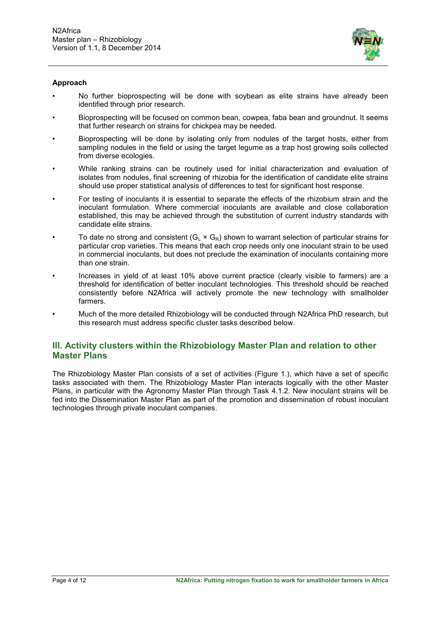

#### **Approach**

- No further bioprospecting will be done with soybean as elite strains have already been identified through prior research.
- Bioprospecting will be focused on common bean, cowpea, faba bean and groundnut. It seems that further research on strains for chickpea may be needed.
- Bioprospecting will be done by isolating only from nodules of the target hosts, either from sampling nodules in the field or using the target legume as a trap host growing soils collected from diverse ecologies.
- While ranking strains can be routinely used for initial characterization and evaluation of isolates from nodules, final screening of rhizobia for the identification of candidate elite strains should use proper statistical analysis of differences to test for significant host response.
- For testing of inoculants it is essential to separate the effects of the rhizobium strain and the inoculant formulation. Where commercial inoculants are available and close collaboration established, this may be achieved through the substitution of current industry standards with candidate elite strains.
- To date no strong and consistent ( $G_L \times G_R$ ) shown to warrant selection of particular strains for particular crop varieties. This means that each crop needs only one inoculant strain to be used in commercial inoculants, but does not preclude the examination of inoculants containing more than one strain.
- Increases in yield of at least 10% above current practice (clearly visible to farmers) are a threshold for identification of better inoculant technologies. This threshold should be reached consistently before N2Africa will actively promote the new technology with smallholder farmers.
- Much of the more detailed Rhizobiology will be conducted through N2Africa PhD research, but this research must address specific cluster tasks described below.

## **III. Activity clusters within the Rhizobiology Master Plan and relation to other Master Plans**

The Rhizobiology Master Plan consists of a set of activities (Figure 1.), which have a set of specific tasks associated with them. The Rhizobiology Master Plan interacts logically with the other Master Plans, in particular with the Agronomy Master Plan through Task 4.1.2. New inoculant strains will be fed into the Dissemination Master Plan as part of the promotion and dissemination of robust inoculant technologies through private inoculant companies.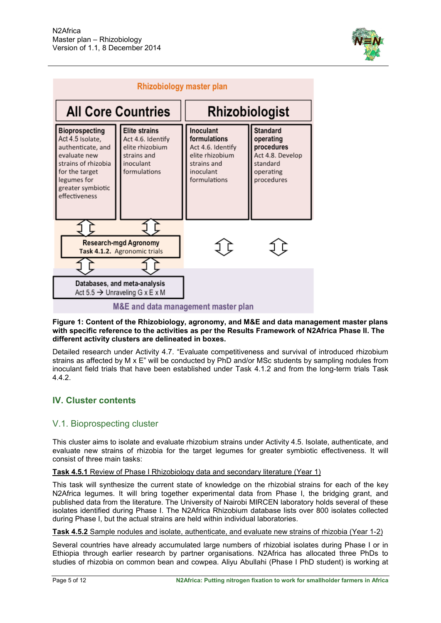



#### **Figure 1: Content of the Rhizobiology, agronomy, and M&E and data management master plans with specific reference to the activities as per the Results Framework of N2Africa Phase II. The different activity clusters are delineated in boxes.**

Detailed research under Activity 4.7. "Evaluate competitiveness and survival of introduced rhizobium strains as affected by M x E" will be conducted by PhD and/or MSc students by sampling nodules from inoculant field trials that have been established under Task 4.1.2 and from the long-term trials Task 4.4.2.

## **IV. Cluster contents**

## V.1. Bioprospecting cluster

This cluster aims to isolate and evaluate rhizobium strains under Activity 4.5. Isolate, authenticate, and evaluate new strains of rhizobia for the target legumes for greater symbiotic effectiveness. It will consist of three main tasks:

### **Task 4.5.1** Review of Phase I Rhizobiology data and secondary literature (Year 1)

This task will synthesize the current state of knowledge on the rhizobial strains for each of the key N2Africa legumes. It will bring together experimental data from Phase I, the bridging grant, and published data from the literature. The University of Nairobi MIRCEN laboratory holds several of these isolates identified during Phase I. The N2Africa Rhizobium database lists over 800 isolates collected during Phase I, but the actual strains are held within individual laboratories.

**Task 4.5.2** Sample nodules and isolate, authenticate, and evaluate new strains of rhizobia (Year 1-2)

Several countries have already accumulated large numbers of rhizobial isolates during Phase I or in Ethiopia through earlier research by partner organisations. N2Africa has allocated three PhDs to studies of rhizobia on common bean and cowpea. Aliyu Abullahi (Phase I PhD student) is working at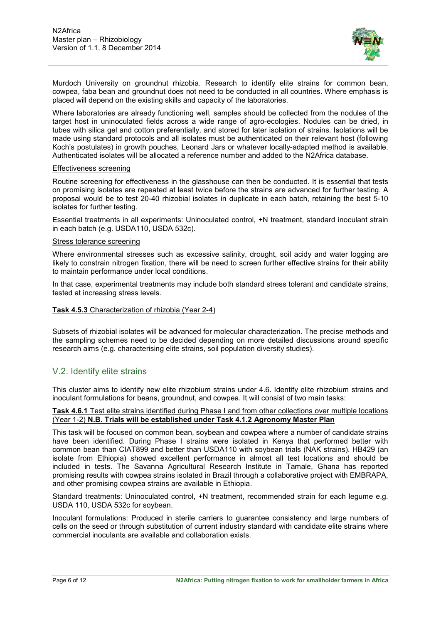

Murdoch University on groundnut rhizobia. Research to identify elite strains for common bean, cowpea, faba bean and groundnut does not need to be conducted in all countries. Where emphasis is placed will depend on the existing skills and capacity of the laboratories.

Where laboratories are already functioning well, samples should be collected from the nodules of the target host in uninoculated fields across a wide range of agro-ecologies. Nodules can be dried, in tubes with silica gel and cotton preferentially, and stored for later isolation of strains. Isolations will be made using standard protocols and all isolates must be authenticated on their relevant host (following Koch's postulates) in growth pouches, Leonard Jars or whatever locally-adapted method is available. Authenticated isolates will be allocated a reference number and added to the N2Africa database.

#### Effectiveness screening

Routine screening for effectiveness in the glasshouse can then be conducted. It is essential that tests on promising isolates are repeated at least twice before the strains are advanced for further testing. A proposal would be to test 20-40 rhizobial isolates in duplicate in each batch, retaining the best 5-10 isolates for further testing.

Essential treatments in all experiments: Uninoculated control, +N treatment, standard inoculant strain in each batch (e.g. USDA110, USDA 532c).

#### Stress tolerance screening

Where environmental stresses such as excessive salinity, drought, soil acidy and water logging are likely to constrain nitrogen fixation, there will be need to screen further effective strains for their ability to maintain performance under local conditions.

In that case, experimental treatments may include both standard stress tolerant and candidate strains, tested at increasing stress levels.

#### **Task 4.5.3** Characterization of rhizobia (Year 2-4)

Subsets of rhizobial isolates will be advanced for molecular characterization. The precise methods and the sampling schemes need to be decided depending on more detailed discussions around specific research aims (e.g. characterising elite strains, soil population diversity studies).

## V.2. Identify elite strains

This cluster aims to identify new elite rhizobium strains under 4.6. Identify elite rhizobium strains and inoculant formulations for beans, groundnut, and cowpea. It will consist of two main tasks:

#### **Task 4.6.1** Test elite strains identified during Phase I and from other collections over multiple locations (Year 1-2) **N.B. Trials will be established under Task 4.1.2 Agronomy Master Plan**

This task will be focused on common bean, soybean and cowpea where a number of candidate strains have been identified. During Phase I strains were isolated in Kenya that performed better with common bean than CIAT899 and better than USDA110 with soybean trials (NAK strains). HB429 (an isolate from Ethiopia) showed excellent performance in almost all test locations and should be included in tests. The Savanna Agricultural Research Institute in Tamale, Ghana has reported promising results with cowpea strains isolated in Brazil through a collaborative project with EMBRAPA, and other promising cowpea strains are available in Ethiopia.

Standard treatments: Uninoculated control, +N treatment, recommended strain for each legume e.g. USDA 110, USDA 532c for soybean.

Inoculant formulations: Produced in sterile carriers to guarantee consistency and large numbers of cells on the seed or through substitution of current industry standard with candidate elite strains where commercial inoculants are available and collaboration exists.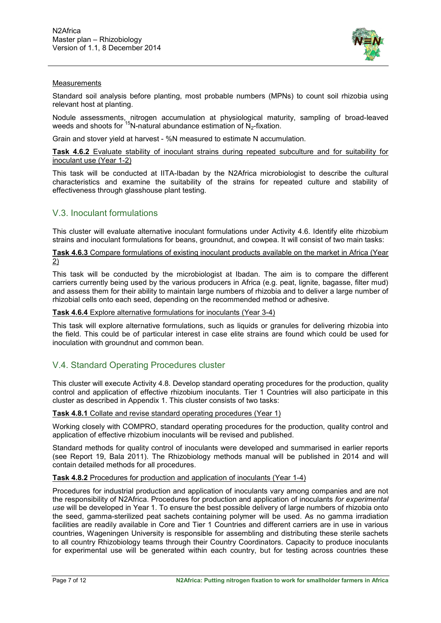

#### **Measurements**

Standard soil analysis before planting, most probable numbers (MPNs) to count soil rhizobia using relevant host at planting.

Nodule assessments, nitrogen accumulation at physiological maturity, sampling of broad-leaved weeds and shoots for  $^{15}$ N-natural abundance estimation of N<sub>2</sub>-fixation.

Grain and stover yield at harvest - %N measured to estimate N accumulation.

**Task 4.6.2** Evaluate stability of inoculant strains during repeated subculture and for suitability for inoculant use (Year 1-2)

This task will be conducted at IITA-Ibadan by the N2Africa microbiologist to describe the cultural characteristics and examine the suitability of the strains for repeated culture and stability of effectiveness through glasshouse plant testing.

## V.3. Inoculant formulations

This cluster will evaluate alternative inoculant formulations under Activity 4.6. Identify elite rhizobium strains and inoculant formulations for beans, groundnut, and cowpea. It will consist of two main tasks:

#### **Task 4.6.3** Compare formulations of existing inoculant products available on the market in Africa (Year 2)

This task will be conducted by the microbiologist at Ibadan. The aim is to compare the different carriers currently being used by the various producers in Africa (e.g. peat, lignite, bagasse, filter mud) and assess them for their ability to maintain large numbers of rhizobia and to deliver a large number of rhizobial cells onto each seed, depending on the recommended method or adhesive.

#### **Task 4.6.4** Explore alternative formulations for inoculants (Year 3-4)

This task will explore alternative formulations, such as liquids or granules for delivering rhizobia into the field. This could be of particular interest in case elite strains are found which could be used for inoculation with groundnut and common bean.

## V.4. Standard Operating Procedures cluster

This cluster will execute Activity 4.8. Develop standard operating procedures for the production, quality control and application of effective rhizobium inoculants. Tier 1 Countries will also participate in this cluster as described in Appendix 1. This cluster consists of two tasks:

#### **Task 4.8.1** Collate and revise standard operating procedures (Year 1)

Working closely with COMPRO, standard operating procedures for the production, quality control and application of effective rhizobium inoculants will be revised and published.

Standard methods for quality control of inoculants were developed and summarised in earlier reports (see Report 19, Bala 2011). The Rhizobiology methods manual will be published in 2014 and will contain detailed methods for all procedures.

#### **Task 4.8.2** Procedures for production and application of inoculants (Year 1-4)

Procedures for industrial production and application of inoculants vary among companies and are not the responsibility of N2Africa. Procedures for production and application of inoculants *for experimental use* will be developed in Year 1. To ensure the best possible delivery of large numbers of rhizobia onto the seed, gamma-sterilized peat sachets containing polymer will be used. As no gamma irradiation facilities are readily available in Core and Tier 1 Countries and different carriers are in use in various countries, Wageningen University is responsible for assembling and distributing these sterile sachets to all country Rhizobiology teams through their Country Coordinators. Capacity to produce inoculants for experimental use will be generated within each country, but for testing across countries these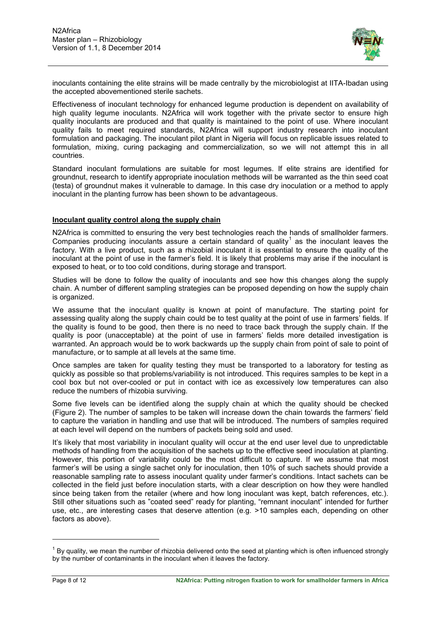

inoculants containing the elite strains will be made centrally by the microbiologist at IITA-Ibadan using the accepted abovementioned sterile sachets.

Effectiveness of inoculant technology for enhanced legume production is dependent on availability of high quality legume inoculants. N2Africa will work together with the private sector to ensure high quality inoculants are produced and that quality is maintained to the point of use. Where inoculant quality fails to meet required standards, N2Africa will support industry research into inoculant formulation and packaging. The inoculant pilot plant in Nigeria will focus on replicable issues related to formulation, mixing, curing packaging and commercialization, so we will not attempt this in all countries.

Standard inoculant formulations are suitable for most legumes. If elite strains are identified for groundnut, research to identify appropriate inoculation methods will be warranted as the thin seed coat (testa) of groundnut makes it vulnerable to damage. In this case dry inoculation or a method to apply inoculant in the planting furrow has been shown to be advantageous.

#### **Inoculant quality control along the supply chain**

N2Africa is committed to ensuring the very best technologies reach the hands of smallholder farmers. Companies producing inoculants assure a certain standard of quality<sup>[1](#page-7-0)</sup> as the inoculant leaves the factory. With a live product, such as a rhizobial inoculant it is essential to ensure the quality of the inoculant at the point of use in the farmer's field. It is likely that problems may arise if the inoculant is exposed to heat, or to too cold conditions, during storage and transport.

Studies will be done to follow the quality of inoculants and see how this changes along the supply chain. A number of different sampling strategies can be proposed depending on how the supply chain is organized.

We assume that the inoculant quality is known at point of manufacture. The starting point for assessing quality along the supply chain could be to test quality at the point of use in farmers' fields. If the quality is found to be good, then there is no need to trace back through the supply chain. If the quality is poor (unacceptable) at the point of use in farmers' fields more detailed investigation is warranted. An approach would be to work backwards up the supply chain from point of sale to point of manufacture, or to sample at all levels at the same time.

Once samples are taken for quality testing they must be transported to a laboratory for testing as quickly as possible so that problems/variability is not introduced. This requires samples to be kept in a cool box but not over-cooled or put in contact with ice as excessively low temperatures can also reduce the numbers of rhizobia surviving.

Some five levels can be identified along the supply chain at which the quality should be checked (Figure 2). The number of samples to be taken will increase down the chain towards the farmers' field to capture the variation in handling and use that will be introduced. The numbers of samples required at each level will depend on the numbers of packets being sold and used.

It's likely that most variability in inoculant quality will occur at the end user level due to unpredictable methods of handling from the acquisition of the sachets up to the effective seed inoculation at planting. However, this portion of variability could be the most difficult to capture. If we assume that most farmer's will be using a single sachet only for inoculation, then 10% of such sachets should provide a reasonable sampling rate to assess inoculant quality under farmer's conditions. Intact sachets can be collected in the field just before inoculation starts, with a clear description on how they were handled since being taken from the retailer (where and how long inoculant was kept, batch references, etc.). Still other situations such as "coated seed" ready for planting, "remnant inoculant" intended for further use, etc., are interesting cases that deserve attention (e.g. >10 samples each, depending on other factors as above).

-

<span id="page-7-0"></span> $1$  By quality, we mean the number of rhizobia delivered onto the seed at planting which is often influenced strongly by the number of contaminants in the inoculant when it leaves the factory.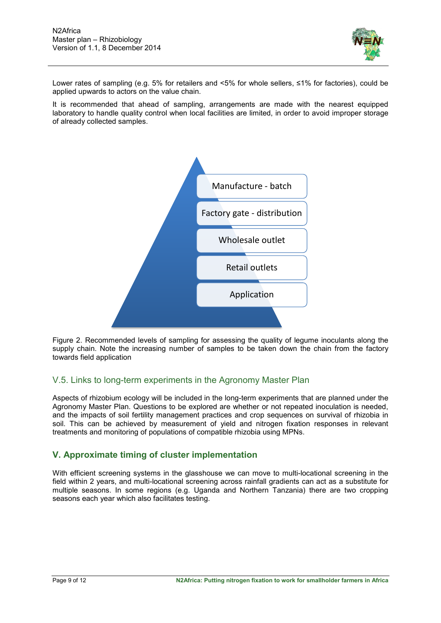

Lower rates of sampling (e.g. 5% for retailers and <5% for whole sellers, ≤1% for factories), could be applied upwards to actors on the value chain.

It is recommended that ahead of sampling, arrangements are made with the nearest equipped laboratory to handle quality control when local facilities are limited, in order to avoid improper storage of already collected samples.



Figure 2. Recommended levels of sampling for assessing the quality of legume inoculants along the supply chain. Note the increasing number of samples to be taken down the chain from the factory towards field application

# V.5. Links to long-term experiments in the Agronomy Master Plan

Aspects of rhizobium ecology will be included in the long-term experiments that are planned under the Agronomy Master Plan. Questions to be explored are whether or not repeated inoculation is needed, and the impacts of soil fertility management practices and crop sequences on survival of rhizobia in soil. This can be achieved by measurement of yield and nitrogen fixation responses in relevant treatments and monitoring of populations of compatible rhizobia using MPNs.

## **V. Approximate timing of cluster implementation**

With efficient screening systems in the glasshouse we can move to multi-locational screening in the field within 2 years, and multi-locational screening across rainfall gradients can act as a substitute for multiple seasons. In some regions (e.g. Uganda and Northern Tanzania) there are two cropping seasons each year which also facilitates testing.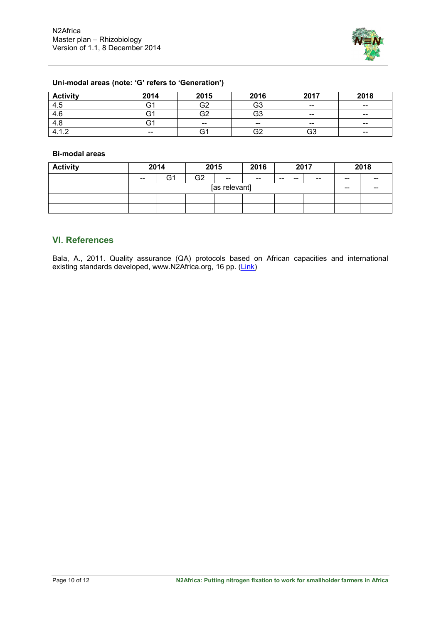

## **Uni-modal areas (note: 'G' refers to 'Generation')**

| <b>Activity</b> | 2014                     | 2015  | 2016  | 2017                                           | 2018                                  |
|-----------------|--------------------------|-------|-------|------------------------------------------------|---------------------------------------|
| 4.5             | G1                       | G2    | G3    | $\hspace{0.1mm}-\hspace{0.1mm}-\hspace{0.1mm}$ | $\hspace{0.05cm}$ – $\hspace{0.05cm}$ |
| 4.6             | G1                       | G2    | G3    | $- -$                                          | $\overline{\phantom{m}}$              |
| 4.8             | G1                       | $- -$ | $- -$ | $- -$                                          | $\overline{\phantom{m}}$              |
| 412<br>−.∠      | $\overline{\phantom{m}}$ | َ ت   | G2    | G3                                             | $\hspace{0.05cm}$                     |

#### **Bi-modal areas**

| <b>Activity</b> | 2014          |    |                | 2015  | 2016                                  |       |       | 2017                     |       | 2018  |
|-----------------|---------------|----|----------------|-------|---------------------------------------|-------|-------|--------------------------|-------|-------|
|                 | $-$           | G1 | G <sub>2</sub> | $- -$ | $\hspace{0.05cm}$ – $\hspace{0.05cm}$ | $- -$ | $- -$ | $\overline{\phantom{m}}$ | $- -$ | $- -$ |
|                 | [as relevant] |    |                |       |                                       | $- -$ | $- -$ |                          |       |       |
|                 |               |    |                |       |                                       |       |       |                          |       |       |
|                 |               |    |                |       |                                       |       |       |                          |       |       |

## **VI. References**

Bala, A., 2011. Quality assurance (QA) protocols based on African capacities and international existing standards developed, www.N2Africa.org, 16 pp. [\(Link\)](http://www.n2africa.org/sites/n2africa.org/files/images/N2Africa_Quality%20assurance%20protocols%20based%20on%20African%20capacities%20and%20international%20existing%20standards%20developed.pdf)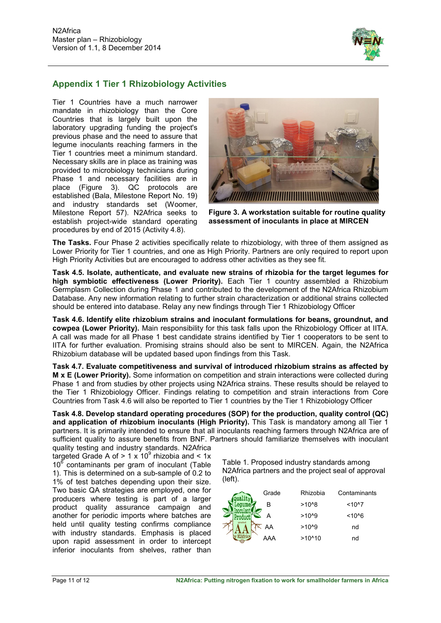

## **Appendix 1 Tier 1 Rhizobiology Activities**

Tier 1 Countries have a much narrower mandate in rhizobiology than the Core Countries that is largely built upon the laboratory upgrading funding the project's previous phase and the need to assure that legume inoculants reaching farmers in the Tier 1 countries meet a minimum standard. Necessary skills are in place as training was provided to microbiology technicians during Phase 1 and necessary facilities are in place (Figure 3). QC protocols are established (Bala, Milestone Report No. 19) and industry standards set (Woomer, Milestone Report 57). N2Africa seeks to establish project-wide standard operating procedures by end of 2015 (Activity 4.8).



**Figure 3. A workstation suitable for routine quality assessment of inoculants in place at MIRCEN**

**The Tasks.** Four Phase 2 activities specifically relate to rhizobiology, with three of them assigned as Lower Priority for Tier 1 countries, and one as High Priority. Partners are only required to report upon High Priority Activities but are encouraged to address other activities as they see fit.

**Task 4.5. Isolate, authenticate, and evaluate new strains of rhizobia for the target legumes for high symbiotic effectiveness (Lower Priority).** Each Tier 1 country assembled a Rhizobium Germplasm Collection during Phase 1 and contributed to the development of the N2Africa Rhizobium Database. Any new information relating to further strain characterization or additional strains collected should be entered into database. Relay any new findings through Tier 1 Rhizobiology Officer

**Task 4.6. Identify elite rhizobium strains and inoculant formulations for beans, groundnut, and cowpea (Lower Priority).** Main responsibility for this task falls upon the Rhizobiology Officer at IITA. A call was made for all Phase 1 best candidate strains identified by Tier 1 cooperators to be sent to IITA for further evaluation. Promising strains should also be sent to MIRCEN. Again, the N2Africa Rhizobium database will be updated based upon findings from this Task.

**Task 4.7. Evaluate competitiveness and survival of introduced rhizobium strains as affected by M x E (Lower Priority).** Some information on competition and strain interactions were collected during Phase 1 and from studies by other projects using N2Africa strains. These results should be relayed to the Tier 1 Rhizobiology Officer. Findings relating to competition and strain interactions from Core Countries from Task 4.6 will also be reported to Tier 1 countries by the Tier 1 Rhizobiology Officer

**Task 4.8. Develop standard operating procedures (SOP) for the production, quality control (QC) and application of rhizobium inoculants (High Priority).** This Task is mandatory among all Tier 1 partners. It is primarily intended to ensure that all inoculants reaching farmers through N2Africa are of sufficient quality to assure benefits from BNF. Partners should familiarize themselves with inoculant quality testing and industry standards. N2Africa

targeted Grade A of  $> 1 \times 10^9$  rhizobia and  $< 1 \times$  $10<sup>6</sup>$  contaminants per gram of inoculant (Table 1). This is determined on a sub-sample of 0.2 to 1% of test batches depending upon their size. Two basic QA strategies are employed, one for producers where testing is part of a larger product quality assurance campaign and another for periodic imports where batches are held until quality testing confirms compliance with industry standards. Emphasis is placed upon rapid assessment in order to intercept inferior inoculants from shelves, rather than

Table 1. Proposed industry standards among N2Africa partners and the project seal of approval (left).

| Grade        | Rhizobia        | Contaminants |
|--------------|-----------------|--------------|
| в            | $>10^{6}8$      | $10^{6}$     |
| А            | $>10^{6}$       | $~10^{6}$    |
| graded<br>AA | $>10^{6}$       | nd           |
| AAA          | $>10^{\circ}10$ | nd           |